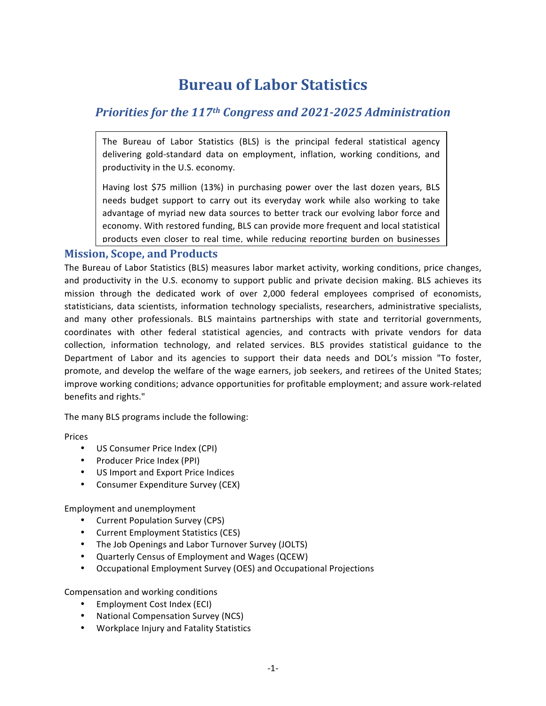# **Bureau of Labor Statistics**

## *Priorities for the 117<sup>th</sup> Congress and 2021-2025 Administration*

The Bureau of Labor Statistics (BLS) is the principal federal statistical agency delivering gold-standard data on employment, inflation, working conditions, and productivity in the U.S. economy.

Having lost \$75 million (13%) in purchasing power over the last dozen years, BLS needs budget support to carry out its everyday work while also working to take advantage of myriad new data sources to better track our evolving labor force and economy. With restored funding, BLS can provide more frequent and local statistical products even closer to real time, while reducing reporting burden on businesses

#### **Mission, Scope, and Products**

The Bureau of Labor Statistics (BLS) measures labor market activity, working conditions, price changes, and productivity in the U.S. economy to support public and private decision making. BLS achieves its mission through the dedicated work of over 2,000 federal employees comprised of economists, statisticians, data scientists, information technology specialists, researchers, administrative specialists, and many other professionals. BLS maintains partnerships with state and territorial governments, coordinates with other federal statistical agencies, and contracts with private vendors for data collection, information technology, and related services. BLS provides statistical guidance to the Department of Labor and its agencies to support their data needs and DOL's mission "To foster, promote, and develop the welfare of the wage earners, job seekers, and retirees of the United States; improve working conditions; advance opportunities for profitable employment; and assure work-related benefits and rights."

The many BLS programs include the following:

Prices

- US Consumer Price Index (CPI)
- Producer Price Index (PPI)
- US Import and Export Price Indices
- Consumer Expenditure Survey (CEX)

Employment and unemployment

- Current Population Survey (CPS)
- Current Employment Statistics (CES)
- The Job Openings and Labor Turnover Survey (JOLTS)
- Quarterly Census of Employment and Wages (QCEW)
- Occupational Employment Survey (OES) and Occupational Projections

Compensation and working conditions

- Employment Cost Index (ECI)
- National Compensation Survey (NCS)
- Workplace Injury and Fatality Statistics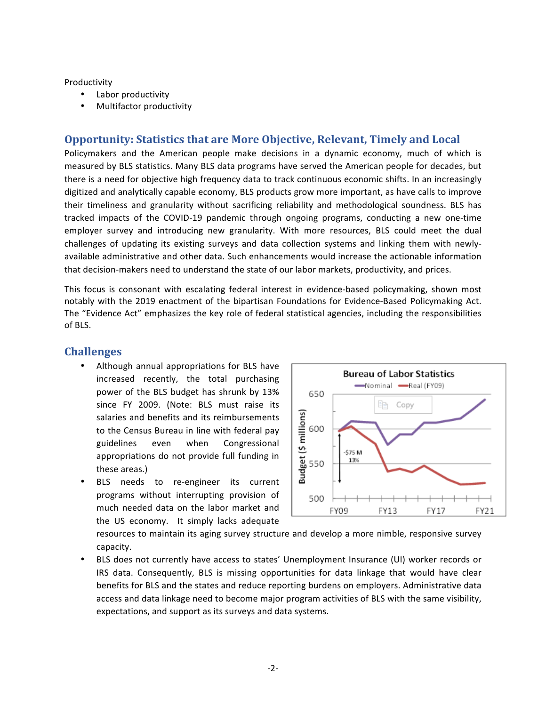#### Productivity

- Labor productivity
- Multifactor productivity

#### **Opportunity: Statistics that are More Objective, Relevant, Timely and Local**

Policymakers and the American people make decisions in a dynamic economy, much of which is measured by BLS statistics. Many BLS data programs have served the American people for decades, but there is a need for objective high frequency data to track continuous economic shifts. In an increasingly digitized and analytically capable economy, BLS products grow more important, as have calls to improve their timeliness and granularity without sacrificing reliability and methodological soundness. BLS has tracked impacts of the COVID-19 pandemic through ongoing programs, conducting a new one-time employer survey and introducing new granularity. With more resources, BLS could meet the dual challenges of updating its existing surveys and data collection systems and linking them with newlyavailable administrative and other data. Such enhancements would increase the actionable information that decision-makers need to understand the state of our labor markets, productivity, and prices.

This focus is consonant with escalating federal interest in evidence-based policymaking, shown most notably with the 2019 enactment of the bipartisan Foundations for Evidence-Based Policymaking Act. The "Evidence Act" emphasizes the key role of federal statistical agencies, including the responsibilities of BLS.

#### **Challenges**

- Although annual appropriations for BLS have increased recently, the total purchasing power of the BLS budget has shrunk by 13% since FY 2009. (Note: BLS must raise its salaries and benefits and its reimbursements to the Census Bureau in line with federal pay guidelines even when Congressional appropriations do not provide full funding in these areas.)
- BLS needs to re-engineer its current programs without interrupting provision of much needed data on the labor market and the US economy. It simply lacks adequate



resources to maintain its aging survey structure and develop a more nimble, responsive survey capacity. 

BLS does not currently have access to states' Unemployment Insurance (UI) worker records or IRS data. Consequently, BLS is missing opportunities for data linkage that would have clear benefits for BLS and the states and reduce reporting burdens on employers. Administrative data access and data linkage need to become major program activities of BLS with the same visibility, expectations, and support as its surveys and data systems.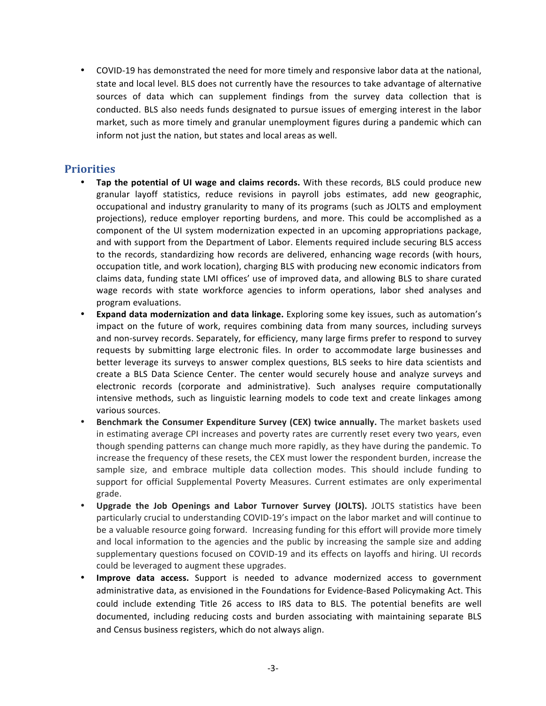• COVID-19 has demonstrated the need for more timely and responsive labor data at the national, state and local level. BLS does not currently have the resources to take advantage of alternative sources of data which can supplement findings from the survey data collection that is conducted. BLS also needs funds designated to pursue issues of emerging interest in the labor market, such as more timely and granular unemployment figures during a pandemic which can inform not just the nation, but states and local areas as well.

### **Priorities**

- Tap the potential of UI wage and claims records. With these records, BLS could produce new granular layoff statistics, reduce revisions in payroll jobs estimates, add new geographic, occupational and industry granularity to many of its programs (such as JOLTS and employment projections), reduce employer reporting burdens, and more. This could be accomplished as a component of the UI system modernization expected in an upcoming appropriations package, and with support from the Department of Labor. Elements required include securing BLS access to the records, standardizing how records are delivered, enhancing wage records (with hours, occupation title, and work location), charging BLS with producing new economic indicators from claims data, funding state LMI offices' use of improved data, and allowing BLS to share curated wage records with state workforce agencies to inform operations, labor shed analyses and program evaluations.
- **Expand data modernization and data linkage.** Exploring some key issues, such as automation's impact on the future of work, requires combining data from many sources, including surveys and non-survey records. Separately, for efficiency, many large firms prefer to respond to survey requests by submitting large electronic files. In order to accommodate large businesses and better leverage its surveys to answer complex questions, BLS seeks to hire data scientists and create a BLS Data Science Center. The center would securely house and analyze surveys and electronic records (corporate and administrative). Such analyses require computationally intensive methods, such as linguistic learning models to code text and create linkages among various sources.
- **Benchmark the Consumer Expenditure Survey (CEX) twice annually.** The market baskets used in estimating average CPI increases and poverty rates are currently reset every two years, even though spending patterns can change much more rapidly, as they have during the pandemic. To increase the frequency of these resets, the CEX must lower the respondent burden, increase the sample size, and embrace multiple data collection modes. This should include funding to support for official Supplemental Poverty Measures. Current estimates are only experimental grade.
- **Upgrade the Job Openings and Labor Turnover Survey (JOLTS).** JOLTS statistics have been particularly crucial to understanding COVID-19's impact on the labor market and will continue to be a valuable resource going forward. Increasing funding for this effort will provide more timely and local information to the agencies and the public by increasing the sample size and adding supplementary questions focused on COVID-19 and its effects on layoffs and hiring. UI records could be leveraged to augment these upgrades.
- **Improve data access.** Support is needed to advance modernized access to government administrative data, as envisioned in the Foundations for Evidence-Based Policymaking Act. This could include extending Title 26 access to IRS data to BLS. The potential benefits are well documented, including reducing costs and burden associating with maintaining separate BLS and Census business registers, which do not always align.